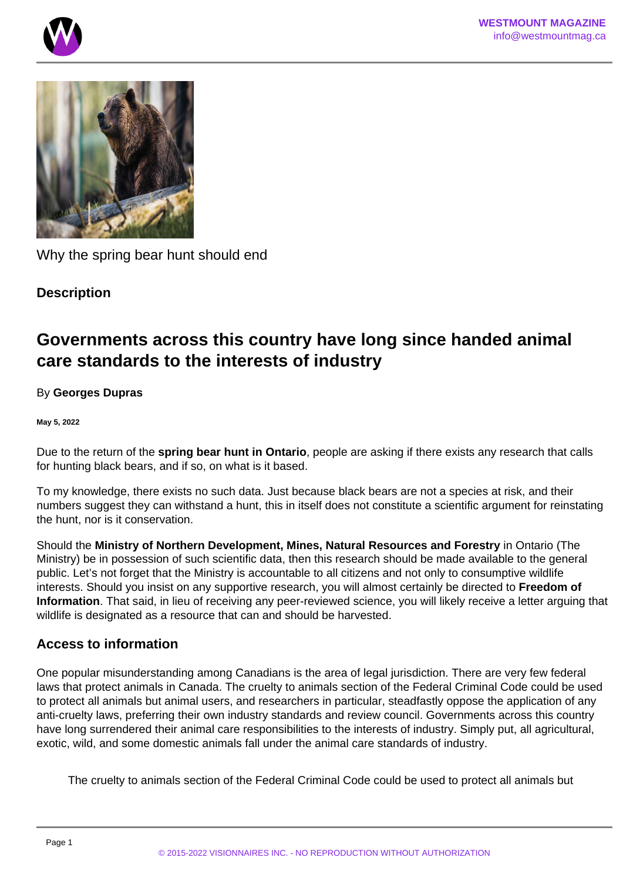



Why the spring bear hunt should end

## **Description**

# **Governments across this country have long since handed animal care standards to the interests of industry**

### By **Georges Dupras**

#### **May 5, 2022**

Due to the return of the **spring bear hunt in Ontario**, people are asking if there exists any research that calls for hunting black bears, and if so, on what is it based.

To my knowledge, there exists no such data. Just because black bears are not a species at risk, and their numbers suggest they can withstand a hunt, this in itself does not constitute a scientific argument for reinstating the hunt, nor is it conservation.

Should the **Ministry of Northern Development, Mines, Natural Resources and Forestry** in Ontario (The Ministry) be in possession of such scientific data, then this research should be made available to the general public. Let's not forget that the Ministry is accountable to all citizens and not only to consumptive wildlife interests. Should you insist on any supportive research, you will almost certainly be directed to **Freedom of Information**. That said, in lieu of receiving any peer-reviewed science, you will likely receive a letter arguing that wildlife is designated as a resource that can and should be harvested.

## **Access to information**

One popular misunderstanding among Canadians is the area of legal jurisdiction. There are very few federal laws that protect animals in Canada. The cruelty to animals section of the Federal Criminal Code could be used to protect all animals but animal users, and researchers in particular, steadfastly oppose the application of any anti-cruelty laws, preferring their own industry standards and review council. Governments across this country have long surrendered their animal care responsibilities to the interests of industry. Simply put, all agricultural, exotic, wild, and some domestic animals fall under the animal care standards of industry.

The cruelty to animals section of the Federal Criminal Code could be used to protect all animals but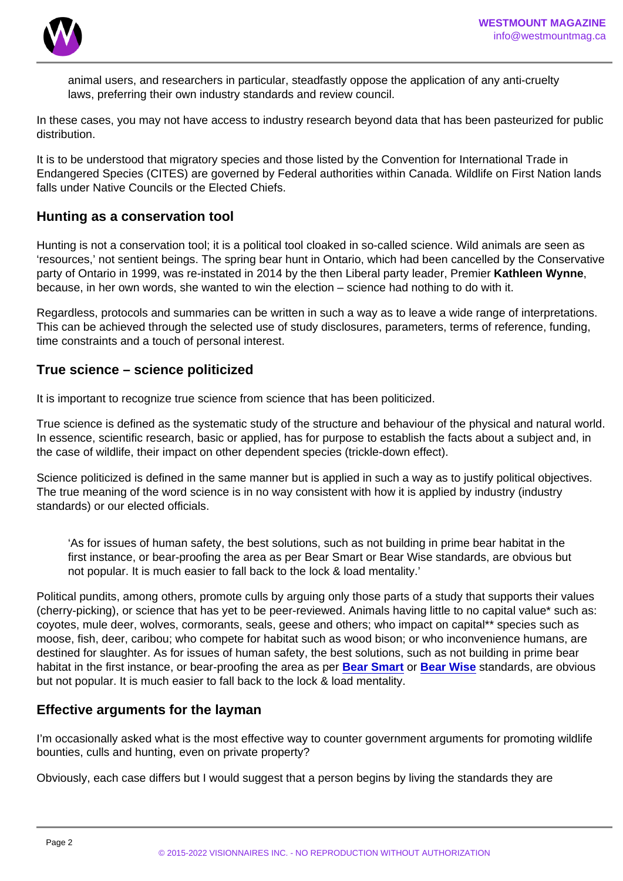animal users, and researchers in particular, steadfastly oppose the application of any anti-cruelty laws, preferring their own industry standards and review council.

In these cases, you may not have access to industry research beyond data that has been pasteurized for public distribution.

It is to be understood that migratory species and those listed by the Convention for International Trade in Endangered Species (CITES) are governed by Federal authorities within Canada. Wildlife on First Nation lands falls under Native Councils or the Elected Chiefs.

#### Hunting as a conservation tool

Hunting is not a conservation tool; it is a political tool cloaked in so-called science. Wild animals are seen as 'resources,' not sentient beings. The spring bear hunt in Ontario, which had been cancelled by the Conservative party of Ontario in 1999, was re-instated in 2014 by the then Liberal party leader, Premier Kathleen Wynne , because, in her own words, she wanted to win the election – science had nothing to do with it.

Regardless, protocols and summaries can be written in such a way as to leave a wide range of interpretations. This can be achieved through the selected use of study disclosures, parameters, terms of reference, funding, time constraints and a touch of personal interest.

True science – science politicized

It is important to recognize true science from science that has been politicized.

True science is defined as the systematic study of the structure and behaviour of the physical and natural world. In essence, scientific research, basic or applied, has for purpose to establish the facts about a subject and, in the case of wildlife, their impact on other dependent species (trickle-down effect).

Science politicized is defined in the same manner but is applied in such a way as to justify political objectives. The true meaning of the word science is in no way consistent with how it is applied by industry (industry standards) or our elected officials.

'As for issues of human safety, the best solutions, such as not building in prime bear habitat in the first instance, or bear-proofing the area as per Bear Smart or Bear Wise standards, are obvious but not popular. It is much easier to fall back to the lock & load mentality.'

Political pundits, among others, promote culls by arguing only those parts of a study that supports their values (cherry-picking), or science that has yet to be peer-reviewed. Animals having little to no capital value\* such as: coyotes, mule deer, wolves, cormorants, seals, geese and others; who impact on capital\*\* species such as moose, fish, deer, caribou; who compete for habitat such as wood bison; or who inconvenience humans, are destined for slaughter. As for issues of human safety, the best solutions, such as not building in prime bear habitat in the first instance, or bear-proofing the area as per [Bear Smart](https://www.bearsmart.com/) or [Bear Wise](https://bearwise.org/) standards, are obvious but not popular. It is much easier to fall back to the lock & load mentality.

#### Effective arguments for the layman

I'm occasionally asked what is the most effective way to counter government arguments for promoting wildlife bounties, culls and hunting, even on private property?

Obviously, each case differs but I would suggest that a person begins by living the standards they are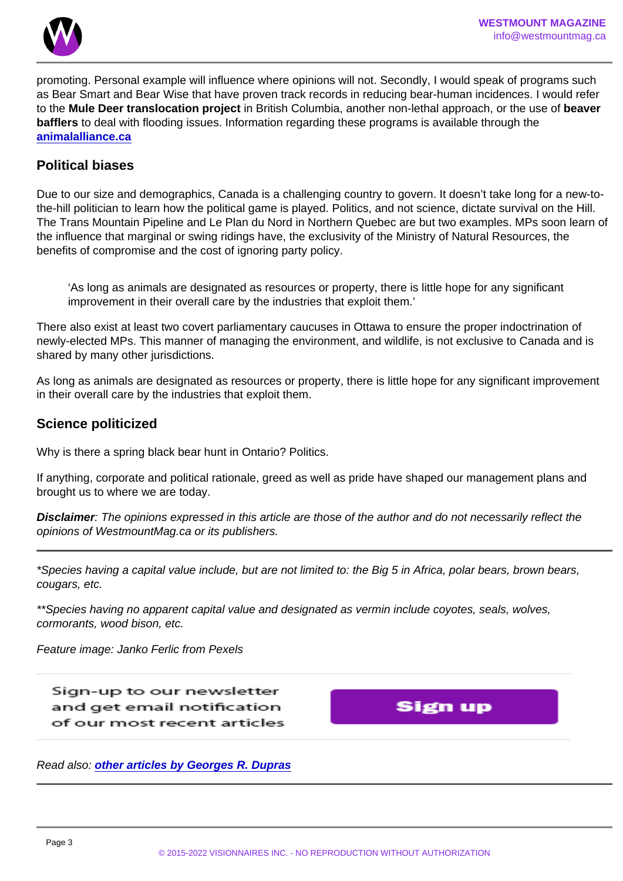promoting. Personal example will influence where opinions will not. Secondly, I would speak of programs such as Bear Smart and Bear Wise that have proven track records in reducing bear-human incidences. I would refer to the Mule Deer translocation project in British Columbia, another non-lethal approach, or the use of beaver bafflers to deal with flooding issues. Information regarding these programs is available through the [animalalliance.ca](https://www.animalalliance.ca)

#### Political biases

Due to our size and demographics, Canada is a challenging country to govern. It doesn't take long for a new-tothe-hill politician to learn how the political game is played. Politics, and not science, dictate survival on the Hill. The Trans Mountain Pipeline and Le Plan du Nord in Northern Quebec are but two examples. MPs soon learn of the influence that marginal or swing ridings have, the exclusivity of the Ministry of Natural Resources, the benefits of compromise and the cost of ignoring party policy.

'As long as animals are designated as resources or property, there is little hope for any significant improvement in their overall care by the industries that exploit them.'

There also exist at least two covert parliamentary caucuses in Ottawa to ensure the proper indoctrination of newly-elected MPs. This manner of managing the environment, and wildlife, is not exclusive to Canada and is shared by many other jurisdictions.

As long as animals are designated as resources or property, there is little hope for any significant improvement in their overall care by the industries that exploit them.

Science politicized

Why is there a spring black bear hunt in Ontario? Politics.

If anything, corporate and political rationale, greed as well as pride have shaped our management plans and brought us to where we are today.

Disclaimer : The opinions expressed in this article are those of the author and do not necessarily reflect the opinions of WestmountMag.ca or its publishers.

\*Species having a capital value include, but are not limited to: the Big 5 in Africa, polar bears, brown bears, cougars, etc.

\*\*Species having no apparent capital value and designated as vermin include coyotes, seals, wolves, cormorants, wood bison, etc.

Feature image: Janko Ferlic from Pexels

Read also: [other articles by Georges R. Dupras](https://www.westmountmag.ca/?s=georges+dupras)